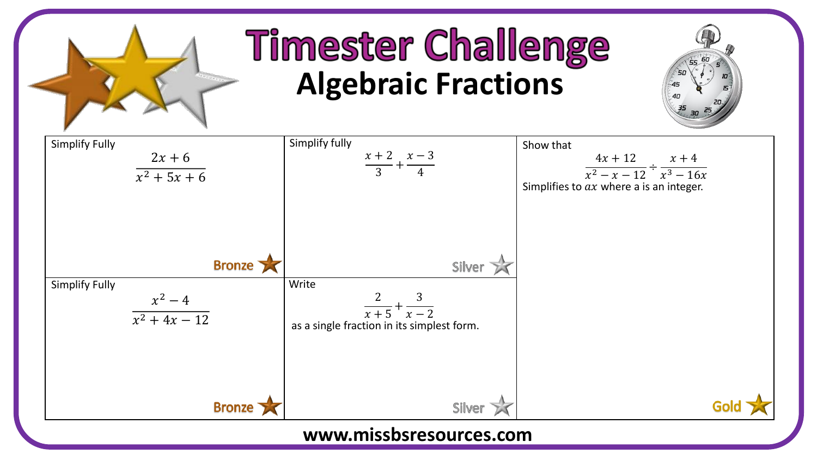